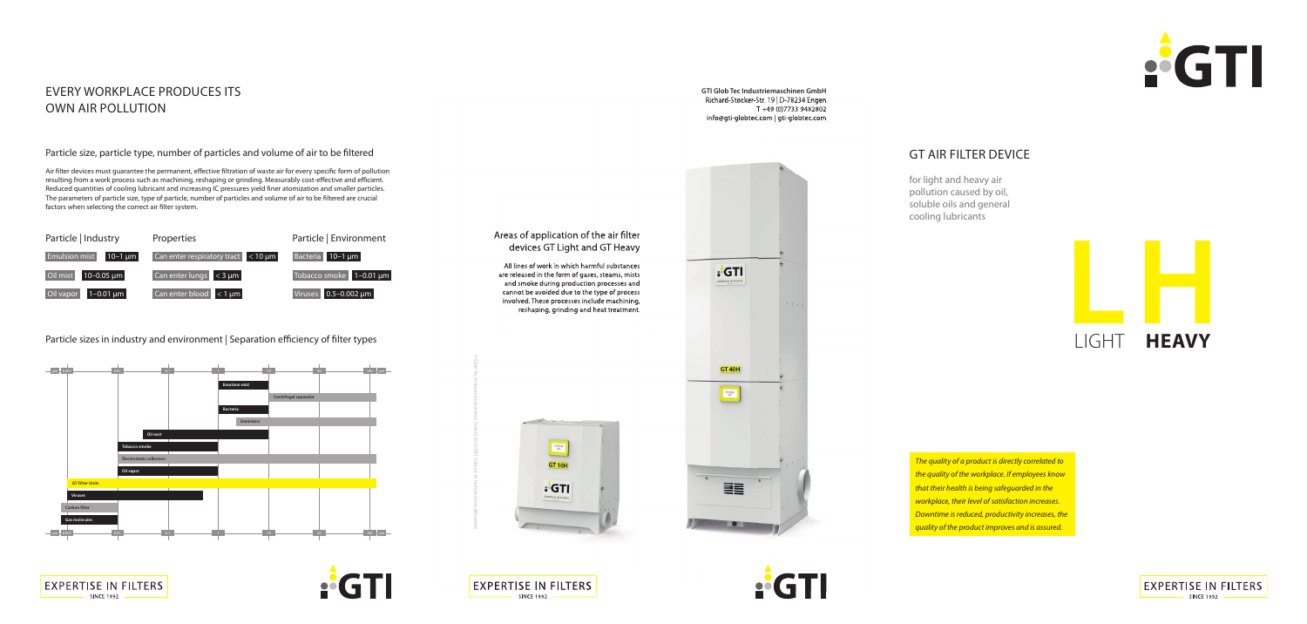*The quality of a product is directly correlated to the quality of the workplace. If employees know that their health is being safeguarded in the workplace, their level of satisfaction increases. Downtime is reduced, productivity increases, the quality of the product improves and is assured.*





## Areas of application of the air filter devices GT Light and GT Heavy

**GTI Glob Tec Industriemaschinen GmbH** Richard-Stocker-Str. 19 | D-78234 Engen T +49 (0)7733 9482802 info@gti-globtec.com | gti-globtec.com





for light and heavy air pollution caused by oil, soluble oils and general cooling lubricants

All lines of work in which harmful substances are released in the form of gases, steams, mists and smoke during production processes and cannot be avoided due to the type of process involved. These processes include machining, reshaping, grinding and heat treatment.

Particle sizes in industry and environment | Separation efficiency of filter types



## EVERY WORKPLACE PRODUCES ITS OWN AIR POLLUTION

**EXPERTISE IN FILTERS** 

**SINCE 1992** 

### Particle size, particle type, number of particles and volume of air to be filtered

Air filter devices must guarantee the permanent, effective filtration of waste air for every specific form of pollution resulting from a work process such as machining, reshaping or grinding. Measurably cost-effective and efficient. Reduced quantities of cooling lubricant and increasing IC pressures yield finer atomization and smaller particles. The parameters of particle size, type of particle, number of particles and volume of air to be filtered are crucial factors when selecting the correct air filter system.







**AGTI**